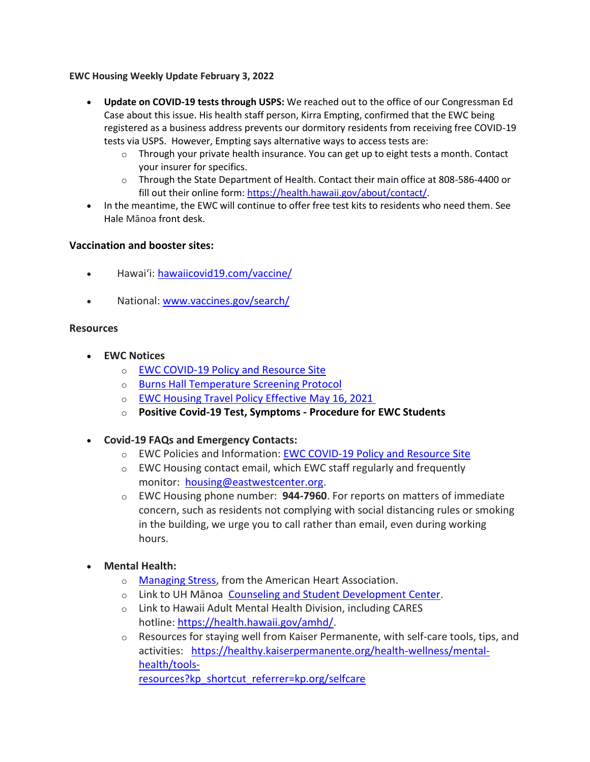## **EWC Housing Weekly Update February 3, 2022**

- **Update on COVID-19 tests through USPS:** We reached out to the office of our Congressman Ed Case about this issue. His health staff person, Kirra Empting, confirmed that the EWC being registered as a business address prevents our dormitory residents from receiving free COVID-19 tests via USPS. However, Empting says alternative ways to access tests are:
	- $\circ$  Through your private health insurance. You can get up to eight tests a month. Contact your insurer for specifics.
	- $\circ$  Through the State Department of Health. Contact their main office at 808-586-4400 or fill out their online form[: https://health.hawaii.gov/about/contact/.](https://urldefense.proofpoint.com/v2/url?u=https-3A__health.hawaii.gov_about_contact_&d=DwMFaQ&c=euGZstcaTDllvimEN8b7jXrwqOf-v5A_CdpgnVfiiMM&r=sjCoHaVUe8_a1MXsziR411ri4sB3BX3q50L3el6sXMQ&m=AdH9xR-Y1-RAAo_XfMKPpS5cPWWHmjTu_KUXGHgNNVw&s=kYKr233utlbgnRKMeiT70mmmjnNuXFgumXMFStb8JjY&e=)
- In the meantime, the EWC will continue to offer free test kits to residents who need them. See Hale Mānoa front desk.

## **Vaccination and booster sites:**

- Hawaiʻi: [hawaiicovid19.com/vaccine/](https://hawaiicovid19.com/vaccine/)
- National: [www.vaccines.gov/search/](https://urldefense.proofpoint.com/v2/url?u=https-3A__www.vaccines.gov_search_&d=DwMFaQ&c=euGZstcaTDllvimEN8b7jXrwqOf-v5A_CdpgnVfiiMM&r=sjCoHaVUe8_a1MXsziR411ri4sB3BX3q50L3el6sXMQ&m=AdH9xR-Y1-RAAo_XfMKPpS5cPWWHmjTu_KUXGHgNNVw&s=kzZtZZEVdvdQiqRBwc7J83onALgh4fsi6K2NT1IrPeo&e=)

## **Resources**

- **EWC Notices**
	- o [EWC COVID-19 Policy and Resource Site](https://urldefense.proofpoint.com/v2/url?u=https-3A__ewcparticipantinfo.org_covid-2D19_&d=DwMFaQ&c=euGZstcaTDllvimEN8b7jXrwqOf-v5A_CdpgnVfiiMM&r=3FPQcXK5sxYRrGCCxQc5PNSb-_SuaL_bSgfyHLgu3XI&m=NeEuRGBZcB6XdPpyhoUn4swvNjBnveDWGZ1brp8cIwI&s=psWXjZhChjGDJkHaOVt2bwTJxxk1NVhXgu70sXTpbpE&e=)
	- o [Burns Hall Temperature Screening Protocol](https://urldefense.proofpoint.com/v2/url?u=https-3A__bit.ly_covid19-2Dtemperature-2Dscreening-2Dprotocol&d=DwMFaQ&c=euGZstcaTDllvimEN8b7jXrwqOf-v5A_CdpgnVfiiMM&r=3FPQcXK5sxYRrGCCxQc5PNSb-_SuaL_bSgfyHLgu3XI&m=DFa_g2AmhabelwvrqHcTxuYqCMz5HzQYOl-ITmKQUfY&s=MwBIPkp2_uF9q_VAPbRPkC7xZiUvs6Zt0tlqGyH_EX4&e=)
	- o [EWC Housing Travel Policy](https://urldefense.proofpoint.com/v2/url?u=https-3A__content.getrave.com_content_5958154_bac55f3b-2Ddebb-2D4839-2Db482-2D3e2c49b4bbf2_9dbf27df-2D5024-2D4b5c-2Dafca-2Ddd05a873a2d4_NEW-5FRevised-5FSummer-5FPolicy.pdf&d=DwMFaQ&c=euGZstcaTDllvimEN8b7jXrwqOf-v5A_CdpgnVfiiMM&r=sjCoHaVUe8_a1MXsziR411ri4sB3BX3q50L3el6sXMQ&m=AdH9xR-Y1-RAAo_XfMKPpS5cPWWHmjTu_KUXGHgNNVw&s=ycva6y4l50gyndo7uHqiYXQDEcsVhM9OZd7Gy02yr-o&e=) Effective May 16, 2021
	- o **Positive Covid-19 [Test, Symptoms](https://urldefense.proofpoint.com/v2/url?u=https-3A__bit.ly_covid19-2Dpositive-2Dtest-2Dsymptoms-2Dprocedure&d=DwMFaQ&c=euGZstcaTDllvimEN8b7jXrwqOf-v5A_CdpgnVfiiMM&r=3FPQcXK5sxYRrGCCxQc5PNSb-_SuaL_bSgfyHLgu3XI&m=DFa_g2AmhabelwvrqHcTxuYqCMz5HzQYOl-ITmKQUfY&s=Ns9Saa_zMPCYCiGvJfcFRdWu8IRNYEtWuYyXAb_X5DY&e=) - Procedure for EWC Students**
- **Covid-19 FAQs and Emergency Contacts:**
	- o EWC Policies and Information: [EWC COVID-19 Policy and Resource Site](https://urldefense.proofpoint.com/v2/url?u=https-3A__ewcparticipantinfo.org_covid-2D19_&d=DwMFaQ&c=euGZstcaTDllvimEN8b7jXrwqOf-v5A_CdpgnVfiiMM&r=3FPQcXK5sxYRrGCCxQc5PNSb-_SuaL_bSgfyHLgu3XI&m=NeEuRGBZcB6XdPpyhoUn4swvNjBnveDWGZ1brp8cIwI&s=psWXjZhChjGDJkHaOVt2bwTJxxk1NVhXgu70sXTpbpE&e=)
	- o EWC Housing contact email, which EWC staff regularly and frequently monitor: [housing@eastwestcenter.org.](mailto:housing@eastwestcenter.org)
	- o EWC Housing phone number: **944-7960**. For reports on matters of immediate concern, such as residents not complying with social distancing rules or smoking in the building, we urge you to call rather than email, even during working hours.
- **Mental Health:**
	- o [Managing Stress,](https://urldefense.proofpoint.com/v2/url?u=https-3A__www.heart.org_en_healthy-2Dliving_healthy-2Dlifestyle_stress-2Dmanagement_3-2Dtips-2Dto-2Dmanage-2Dstress&d=DwMFaQ&c=euGZstcaTDllvimEN8b7jXrwqOf-v5A_CdpgnVfiiMM&r=3FPQcXK5sxYRrGCCxQc5PNSb-_SuaL_bSgfyHLgu3XI&m=DFa_g2AmhabelwvrqHcTxuYqCMz5HzQYOl-ITmKQUfY&s=brkk3h1YsapP-lIVcxt7MNYAlm4bQtz7YKIJGofeUkY&e=) from the American Heart Association.
	- o Link to UH Mānoa [Counseling and Student Development Center.](https://urldefense.proofpoint.com/v2/url?u=http-3A__www.manoa.hawaii.edu_counseling&d=DwMFaQ&c=euGZstcaTDllvimEN8b7jXrwqOf-v5A_CdpgnVfiiMM&r=3FPQcXK5sxYRrGCCxQc5PNSb-_SuaL_bSgfyHLgu3XI&m=am0JUX--VmENU0jPP_iW6ma-yLR9-vpVCXYuYLP_pnQ&s=KLUr2I-87m8x7gT-LRZ1FsUmDxTlS04cGYG1bEY4eOo&e=)
	- o Link to Hawaii Adult Mental Health Division, including CARES hotline: [https://health.hawaii.gov/amhd/.](https://urldefense.proofpoint.com/v2/url?u=https-3A__health.hawaii.gov_amhd_&d=DwMFaQ&c=euGZstcaTDllvimEN8b7jXrwqOf-v5A_CdpgnVfiiMM&r=3FPQcXK5sxYRrGCCxQc5PNSb-_SuaL_bSgfyHLgu3XI&m=am0JUX--VmENU0jPP_iW6ma-yLR9-vpVCXYuYLP_pnQ&s=jGly2XqRyYGfSfcDeFQPHXOriK3LXX4ijFkZpV1I3l0&e=)
	- $\circ$  Resources for staying well from Kaiser Permanente, with self-care tools, tips, and activities: [https://healthy.kaiserpermanente.org/health-wellness/mental](https://urldefense.proofpoint.com/v2/url?u=https-3A__healthy.kaiserpermanente.org_health-2Dwellness_mental-2Dhealth_tools-2Dresources-3Fkp-5Fshortcut-5Freferrer-3Dkp.org_selfcare&d=DwMFaQ&c=euGZstcaTDllvimEN8b7jXrwqOf-v5A_CdpgnVfiiMM&r=3FPQcXK5sxYRrGCCxQc5PNSb-_SuaL_bSgfyHLgu3XI&m=Rbwxxn-uK8FQYTkEAvPhMEKvL03Z3qaRx6Mfv78EfmQ&s=WgR2DHjakUKCqJM0vJM8s8S_NAf2yZItFCWP7XTUlcc&e=)[health/tools](https://urldefense.proofpoint.com/v2/url?u=https-3A__healthy.kaiserpermanente.org_health-2Dwellness_mental-2Dhealth_tools-2Dresources-3Fkp-5Fshortcut-5Freferrer-3Dkp.org_selfcare&d=DwMFaQ&c=euGZstcaTDllvimEN8b7jXrwqOf-v5A_CdpgnVfiiMM&r=3FPQcXK5sxYRrGCCxQc5PNSb-_SuaL_bSgfyHLgu3XI&m=Rbwxxn-uK8FQYTkEAvPhMEKvL03Z3qaRx6Mfv78EfmQ&s=WgR2DHjakUKCqJM0vJM8s8S_NAf2yZItFCWP7XTUlcc&e=)[resources?kp\\_shortcut\\_referrer=kp.org/selfcare](https://urldefense.proofpoint.com/v2/url?u=https-3A__healthy.kaiserpermanente.org_health-2Dwellness_mental-2Dhealth_tools-2Dresources-3Fkp-5Fshortcut-5Freferrer-3Dkp.org_selfcare&d=DwMFaQ&c=euGZstcaTDllvimEN8b7jXrwqOf-v5A_CdpgnVfiiMM&r=3FPQcXK5sxYRrGCCxQc5PNSb-_SuaL_bSgfyHLgu3XI&m=Rbwxxn-uK8FQYTkEAvPhMEKvL03Z3qaRx6Mfv78EfmQ&s=WgR2DHjakUKCqJM0vJM8s8S_NAf2yZItFCWP7XTUlcc&e=)